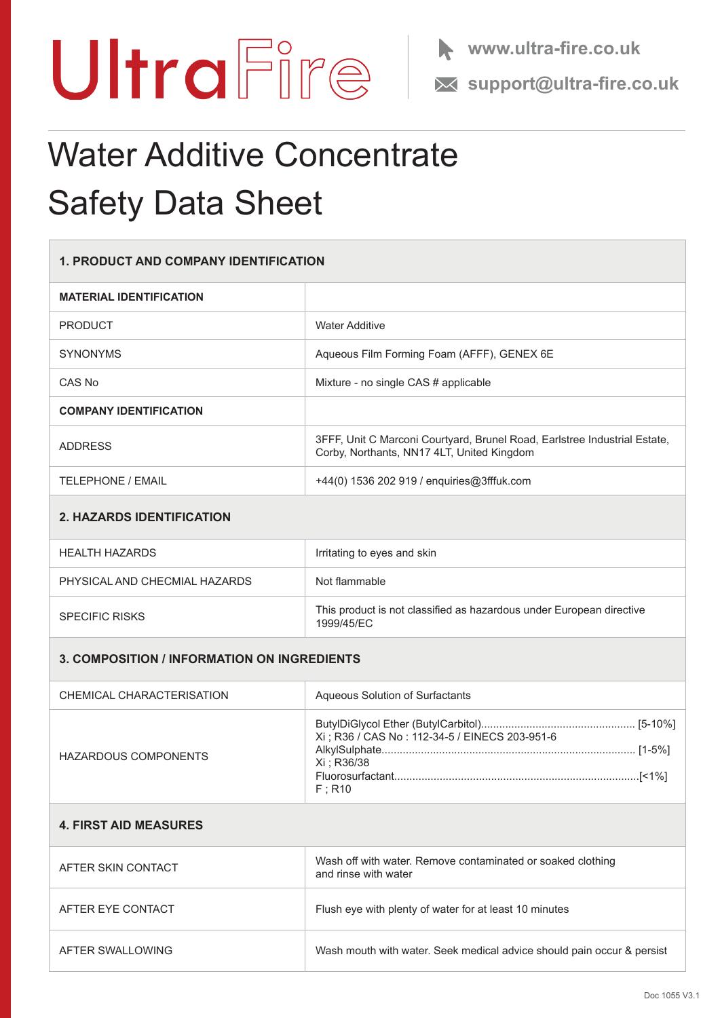



## Water Additive Concentrate Safety Data Sheet

| <b>1. PRODUCT AND COMPANY IDENTIFICATION</b>       |                                                                                                                         |
|----------------------------------------------------|-------------------------------------------------------------------------------------------------------------------------|
| <b>MATERIAL IDENTIFICATION</b>                     |                                                                                                                         |
| <b>PRODUCT</b>                                     | <b>Water Additive</b>                                                                                                   |
| <b>SYNONYMS</b>                                    | Aqueous Film Forming Foam (AFFF), GENEX 6E                                                                              |
| CAS No                                             | Mixture - no single CAS # applicable                                                                                    |
| <b>COMPANY IDENTIFICATION</b>                      |                                                                                                                         |
| <b>ADDRESS</b>                                     | 3FFF, Unit C Marconi Courtyard, Brunel Road, Earlstree Industrial Estate,<br>Corby, Northants, NN17 4LT, United Kingdom |
| <b>TELEPHONE / EMAIL</b>                           | +44(0) 1536 202 919 / enquiries@3fffuk.com                                                                              |
| <b>2. HAZARDS IDENTIFICATION</b>                   |                                                                                                                         |
| <b>HEALTH HAZARDS</b>                              | Irritating to eyes and skin                                                                                             |
| PHYSICAL AND CHECMIAL HAZARDS                      | Not flammable                                                                                                           |
| <b>SPECIFIC RISKS</b>                              | This product is not classified as hazardous under European directive<br>1999/45/EC                                      |
| <b>3. COMPOSITION / INFORMATION ON INGREDIENTS</b> |                                                                                                                         |
| CHEMICAL CHARACTERISATION                          | Aqueous Solution of Surfactants                                                                                         |
| <b>HAZARDOUS COMPONENTS</b>                        | Xi ; R36 / CAS No : 112-34-5 / EINECS 203-951-6<br>Xi ; R36/38<br>$F$ ; R10                                             |
| <b>4. FIRST AID MEASURES</b>                       |                                                                                                                         |
| AFTER SKIN CONTACT                                 | Wash off with water. Remove contaminated or soaked clothing<br>and rinse with water                                     |
| AFTER EYE CONTACT                                  | Flush eye with plenty of water for at least 10 minutes                                                                  |
| AFTER SWALLOWING                                   | Wash mouth with water. Seek medical advice should pain occur & persist                                                  |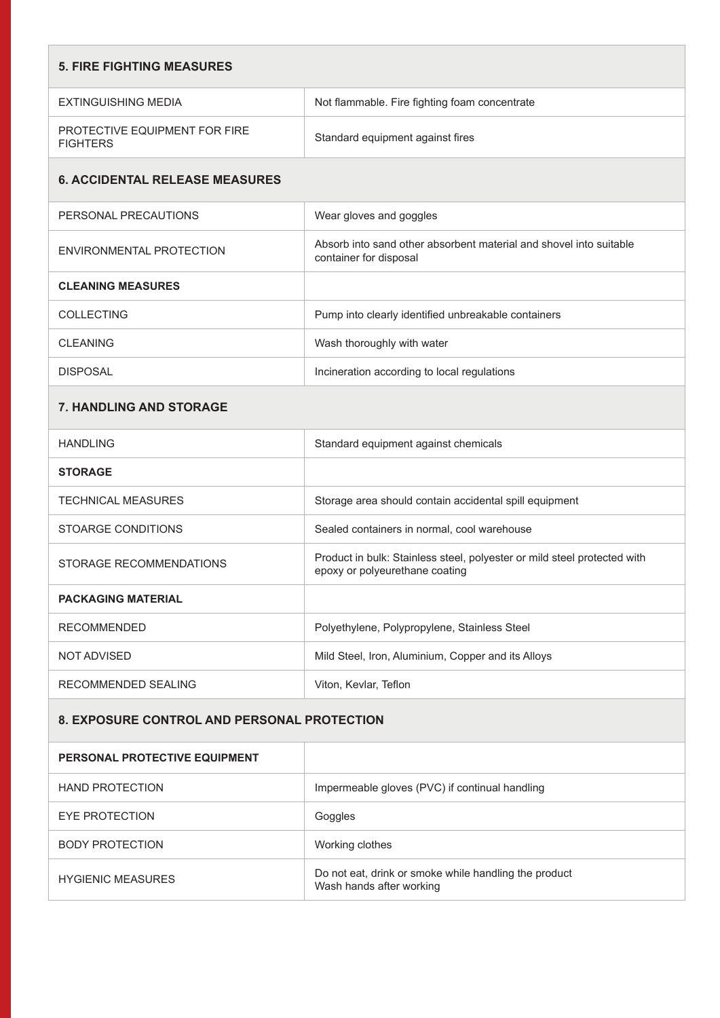| <b>5. FIRE FIGHTING MEASURES</b>                 |                                                                                                            |
|--------------------------------------------------|------------------------------------------------------------------------------------------------------------|
| <b>EXTINGUISHING MEDIA</b>                       | Not flammable. Fire fighting foam concentrate                                                              |
| PROTECTIVE EQUIPMENT FOR FIRE<br><b>FIGHTERS</b> | Standard equipment against fires                                                                           |
| <b>6. ACCIDENTAL RELEASE MEASURES</b>            |                                                                                                            |
| PERSONAL PRECAUTIONS                             | Wear gloves and goggles                                                                                    |
| ENVIRONMENTAL PROTECTION                         | Absorb into sand other absorbent material and shovel into suitable<br>container for disposal               |
| <b>CLEANING MEASURES</b>                         |                                                                                                            |
| COLLECTING                                       | Pump into clearly identified unbreakable containers                                                        |
| <b>CLEANING</b>                                  | Wash thoroughly with water                                                                                 |
| <b>DISPOSAL</b>                                  | Incineration according to local regulations                                                                |
| 7. HANDLING AND STORAGE                          |                                                                                                            |
| <b>HANDLING</b>                                  | Standard equipment against chemicals                                                                       |
| <b>STORAGE</b>                                   |                                                                                                            |
| <b>TECHNICAL MEASURES</b>                        | Storage area should contain accidental spill equipment                                                     |
| STOARGE CONDITIONS                               | Sealed containers in normal, cool warehouse                                                                |
| STORAGE RECOMMENDATIONS                          | Product in bulk: Stainless steel, polyester or mild steel protected with<br>epoxy or polyeurethane coating |
| <b>PACKAGING MATERIAL</b>                        |                                                                                                            |
| <b>RECOMMENDED</b>                               | Polyethylene, Polypropylene, Stainless Steel                                                               |

| NOT ADVISED         | Mild Steel, Iron, Aluminium, Copper and its Alloys |
|---------------------|----------------------------------------------------|
| RECOMMENDED SEALING | Viton, Kevlar, Teflon                              |

### **8. EXPOSURE CONTROL AND PERSONAL PROTECTION**

| <b>PERSONAL PROTECTIVE EQUIPMENT</b> |                                                                                   |
|--------------------------------------|-----------------------------------------------------------------------------------|
| <b>HAND PROTECTION</b>               | Impermeable gloves (PVC) if continual handling                                    |
| EYE PROTECTION                       | Goggles                                                                           |
| <b>BODY PROTECTION</b>               | Working clothes                                                                   |
| <b>HYGIENIC MEASURES</b>             | Do not eat, drink or smoke while handling the product<br>Wash hands after working |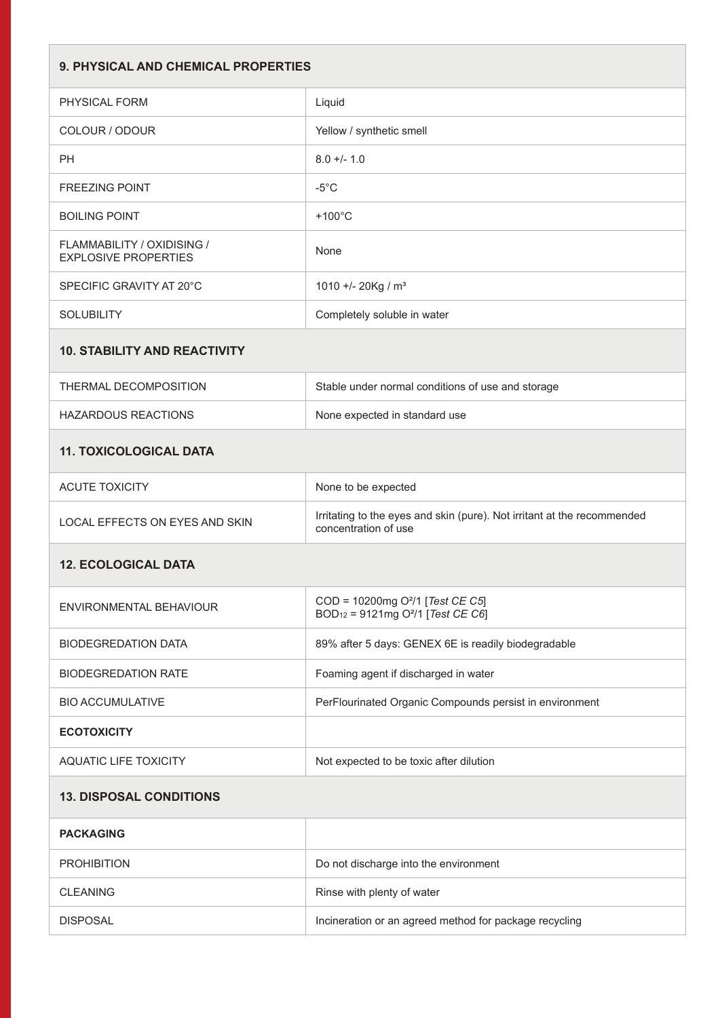| <b>9. PHYSICAL AND CHEMICAL PROPERTIES</b>                       |                                                                                                           |
|------------------------------------------------------------------|-----------------------------------------------------------------------------------------------------------|
| PHYSICAL FORM                                                    | Liquid                                                                                                    |
| COLOUR / ODOUR                                                   | Yellow / synthetic smell                                                                                  |
| PH                                                               | $8.0 +/- 1.0$                                                                                             |
| <b>FREEZING POINT</b>                                            | $-5^{\circ}$ C                                                                                            |
| <b>BOILING POINT</b>                                             | $+100^{\circ}$ C                                                                                          |
| <b>FLAMMABILITY / OXIDISING /</b><br><b>EXPLOSIVE PROPERTIES</b> | None                                                                                                      |
| SPECIFIC GRAVITY AT 20°C                                         | 1010 +/- 20Kg / m <sup>3</sup>                                                                            |
| <b>SOLUBILITY</b>                                                | Completely soluble in water                                                                               |
| <b>10. STABILITY AND REACTIVITY</b>                              |                                                                                                           |
| THERMAL DECOMPOSITION                                            | Stable under normal conditions of use and storage                                                         |
| <b>HAZARDOUS REACTIONS</b>                                       | None expected in standard use                                                                             |
| <b>11. TOXICOLOGICAL DATA</b>                                    |                                                                                                           |
| <b>ACUTE TOXICITY</b>                                            | None to be expected                                                                                       |
| LOCAL EFFECTS ON EYES AND SKIN                                   | Irritating to the eyes and skin (pure). Not irritant at the recommended<br>concentration of use           |
| <b>12. ECOLOGICAL DATA</b>                                       |                                                                                                           |
| ENVIRONMENTAL BEHAVIOUR                                          | COD = 10200mg O <sup>2</sup> /1 [Test CE C5]<br>BOD <sub>12</sub> = 9121mg O <sup>2</sup> /1 [Test CE C6] |
| <b>BIODEGREDATION DATA</b>                                       | 89% after 5 days: GENEX 6E is readily biodegradable                                                       |
| <b>BIODEGREDATION RATE</b>                                       | Foaming agent if discharged in water                                                                      |
| <b>BIO ACCUMULATIVE</b>                                          | PerFlourinated Organic Compounds persist in environment                                                   |
| <b>ECOTOXICITY</b>                                               |                                                                                                           |
| <b>AQUATIC LIFE TOXICITY</b>                                     | Not expected to be toxic after dilution                                                                   |
| <b>13. DISPOSAL CONDITIONS</b>                                   |                                                                                                           |
| <b>PACKAGING</b>                                                 |                                                                                                           |
| <b>PROHIBITION</b>                                               | Do not discharge into the environment                                                                     |
| <b>CLEANING</b>                                                  | Rinse with plenty of water                                                                                |
| <b>DISPOSAL</b>                                                  | Incineration or an agreed method for package recycling                                                    |